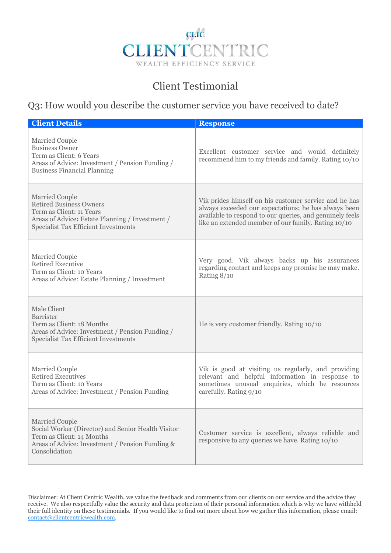

## Client Testimonial

## Q3: How would you describe the customer service you have received to date?

| <b>Client Details</b>                                                                                                                                                                 | <b>Response</b>                                                                                                                                                                                                                  |
|---------------------------------------------------------------------------------------------------------------------------------------------------------------------------------------|----------------------------------------------------------------------------------------------------------------------------------------------------------------------------------------------------------------------------------|
| Married Couple<br><b>Business Owner</b><br>Term as Client: 6 Years<br>Areas of Advice: Investment / Pension Funding /<br><b>Business Financial Planning</b>                           | Excellent customer service and would definitely<br>recommend him to my friends and family. Rating 10/10                                                                                                                          |
| <b>Married Couple</b><br><b>Retired Business Owners</b><br>Term as Client: 11 Years<br>Areas of Advice: Estate Planning / Investment /<br><b>Specialist Tax Efficient Investments</b> | Vik prides himself on his customer service and he has<br>always exceeded our expectations; he has always been<br>available to respond to our queries, and genuinely feels<br>like an extended member of our family. Rating 10/10 |
| Married Couple<br>Retired Executive<br>Term as Client: 10 Years<br>Areas of Advice: Estate Planning / Investment                                                                      | Very good. Vik always backs up his assurances<br>regarding contact and keeps any promise he may make.<br>Rating 8/10                                                                                                             |
| Male Client<br><b>Barrister</b><br>Term as Client: 18 Months<br>Areas of Advice: Investment / Pension Funding /<br><b>Specialist Tax Efficient Investments</b>                        | He is very customer friendly. Rating 10/10                                                                                                                                                                                       |
| <b>Married Couple</b><br>Retired Executives<br>Term as Client: 10 Years<br>Areas of Advice: Investment / Pension Funding                                                              | Vik is good at visiting us regularly, and providing<br>relevant and helpful information in response to<br>sometimes unusual enquiries, which he resources<br>carefully. Rating 9/10                                              |
| <b>Married Couple</b><br>Social Worker (Director) and Senior Health Visitor<br>Term as Client: 14 Months<br>Areas of Advice: Investment / Pension Funding &<br>Consolidation          | Customer service is excellent, always reliable and<br>responsive to any queries we have. Rating 10/10                                                                                                                            |

Disclaimer: At Client Centric Wealth, we value the feedback and comments from our clients on our service and the advice they receive. We also respectfully value the security and data protection of their personal information which is why we have withheld their full identity on these testimonials. If you would like to find out more about how we gather this information, please email: contact@clientcentricwealth.com.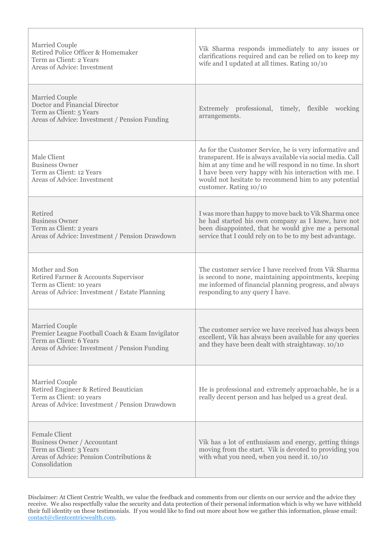| Married Couple<br>Retired Police Officer & Homemaker<br>Term as Client: 2 Years<br>Areas of Advice: Investment                                        | Vik Sharma responds immediately to any issues or<br>clarifications required and can be relied on to keep my<br>wife and I updated at all times. Rating 10/10                                                                                                                                                                  |
|-------------------------------------------------------------------------------------------------------------------------------------------------------|-------------------------------------------------------------------------------------------------------------------------------------------------------------------------------------------------------------------------------------------------------------------------------------------------------------------------------|
| Married Couple<br>Doctor and Financial Director<br>Term as Client: 5 Years<br>Areas of Advice: Investment / Pension Funding                           | Extremely professional, timely, flexible working<br>arrangements.                                                                                                                                                                                                                                                             |
| Male Client<br><b>Business Owner</b><br>Term as Client: 12 Years<br>Areas of Advice: Investment                                                       | As for the Customer Service, he is very informative and<br>transparent. He is always available via social media. Call<br>him at any time and he will respond in no time. In short<br>I have been very happy with his interaction with me. I<br>would not hesitate to recommend him to any potential<br>customer. Rating 10/10 |
| Retired<br><b>Business Owner</b><br>Term as Client: 2 years<br>Areas of Advice: Investment / Pension Drawdown                                         | I was more than happy to move back to Vik Sharma once<br>he had started his own company as I knew, have not<br>been disappointed, that he would give me a personal<br>service that I could rely on to be to my best advantage.                                                                                                |
| Mother and Son<br>Retired Farmer & Accounts Supervisor<br>Term as Client: 10 years<br>Areas of Advice: Investment / Estate Planning                   | The customer service I have received from Vik Sharma<br>is second to none, maintaining appointments, keeping<br>me informed of financial planning progress, and always<br>responding to any query I have.                                                                                                                     |
| <b>Married Couple</b><br>Premier League Football Coach & Exam Invigilator<br>Term as Client: 6 Years<br>Areas of Advice: Investment / Pension Funding | The customer service we have received has always been<br>excellent, Vik has always been available for any queries<br>and they have been dealt with straightaway. 10/10                                                                                                                                                        |
| <b>Married Couple</b><br>Retired Engineer & Retired Beautician<br>Term as Client: 10 years<br>Areas of Advice: Investment / Pension Drawdown          | He is professional and extremely approachable, he is a<br>really decent person and has helped us a great deal.                                                                                                                                                                                                                |
| <b>Female Client</b><br><b>Business Owner / Accountant</b><br>Term as Client: 3 Years<br>Areas of Advice: Pension Contributions &<br>Consolidation    | Vik has a lot of enthusiasm and energy, getting things<br>moving from the start. Vik is devoted to providing you<br>with what you need, when you need it. 10/10                                                                                                                                                               |

Г

Disclaimer: At Client Centric Wealth, we value the feedback and comments from our clients on our service and the advice they receive. We also respectfully value the security and data protection of their personal information which is why we have withheld their full identity on these testimonials. If you would like to find out more about how we gather this information, please email: contact@clientcentricwealth.com.